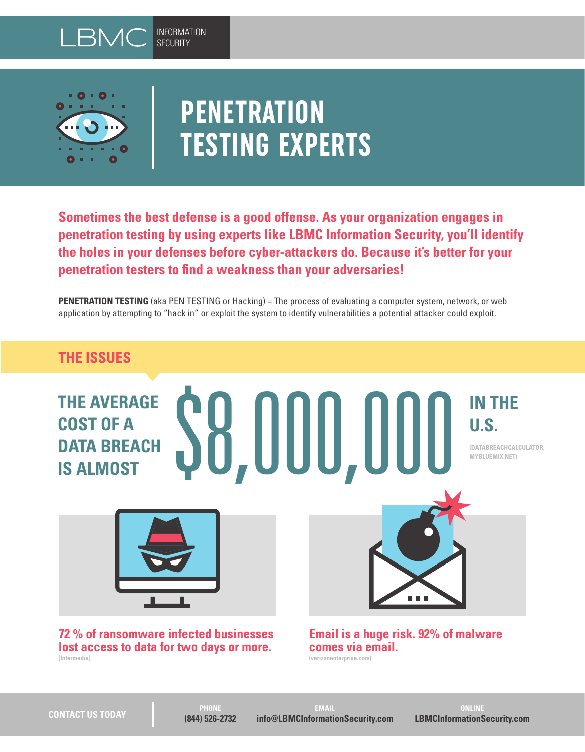



# **PENETRATION TESTING EXPERTS**

**Sometimes the best defense is a good offense. As your organization engages in penetration testing by using experts like LBMC Information Security, you'll identify the holes in your defenses before cyber-attackers do. Because it's better for your penetration testers to find a weakness than your adversaries!**

**PENETRATION TESTING** (aka PEN TESTING or Hacking) = The process of evaluating a computer system, network, or web application by attempting to "hack in" or exploit the system to identify vulnerabilities a potential attacker could exploit.

# **THE ISSUES**

**THE AVERAGE COST OF A DATA BREACH COST OF A<br>DATA BREACH SOUTH UNITED STATA BREACH SALMOST** 

**IN THE U.S.**

**(DATABREACHCALCULATOR. MYBLUEMIX.NET)**



**72 % of ransomware infected businesses lost access to data for two days or more. (Intermedia)**

n n n

**Email is a huge risk. 92% of malware comes via email. (verizonenterprise.com)**

**EMAIL info@LBMCInformationSecurity.com**

**ONLINE LBMCInformationSecurity.com**